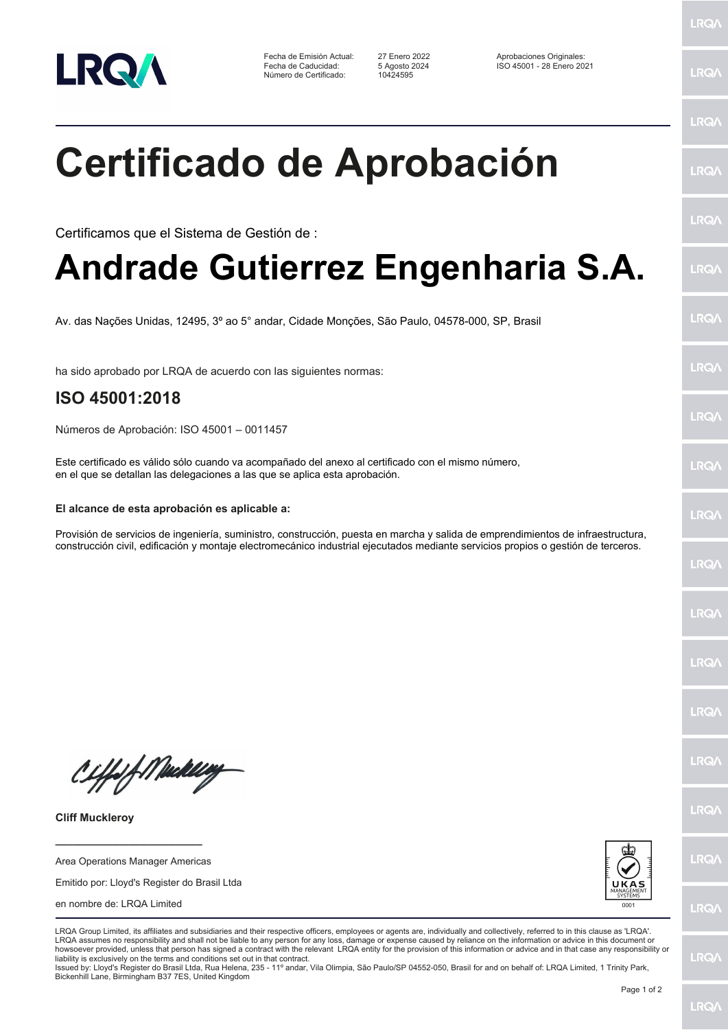

Fecha de Emisión Actual: 27 Enero 2022 Aprobaciones Originales: Número de Certificado:

Fecha de Caducidad: 5 Agosto 2024 ISO 45001 - 28 Enero 2021

LRQ/

LRQ/

LRQ/

LRQ/

LRQ/

LRQ/

LRQ/

LRQ/

**LRQA** 

LRQ/

LRQ/

LRQ/

LRQ/

LRQ/

LRQ/

**IRQA** 

LRQ/

LRQ/

**LRQ/** 

LRQ/

## **Certificado de Aprobación**

Certificamos que el Sistema de Gestión de :

## **Andrade Gutierrez Engenharia S.A.**

Av. das Nações Unidas, 12495, 3º ao 5° andar, Cidade Monções, São Paulo, 04578-000, SP, Brasil

ha sido aprobado por LRQA de acuerdo con las siguientes normas:

## **ISO 45001:2018**

Números de Aprobación: ISO 45001 – 0011457

Este certificado es válido sólo cuando va acompañado del anexo al certificado con el mismo número, en el que se detallan las delegaciones a las que se aplica esta aprobación.

## **El alcance de esta aprobación es aplicable a:**

Provisión de servicios de ingeniería, suministro, construcción, puesta en marcha y salida de emprendimientos de infraestructura, construcción civil, edificación y montaje electromecánico industrial ejecutados mediante servicios propios o gestión de terceros.

Ciffeft Medal

**Cliff Muckleroy**

Area Operations Manager Americas

**\_\_\_\_\_\_\_\_\_\_\_\_\_\_\_\_\_\_\_\_\_\_\_\_**

Emitido por: Lloyd's Register do Brasil Ltda

en nombre de: LRQA Limited



LRQA Group Limited, its affiliates and subsidiaries and their respective officers, employees or agents are, individually and collectively, referred to in this clause as 'LRQA'. LRQA assumes no responsibility and shall not be liable to any person for any loss, damage or expense caused by reliance on the information or advice in this document or howsoever provided, unless that person has signed a contract with the relevant LRQA entity for the provision of this information or advice and in that case any responsibility or liability is exclusively on the terms and conditions set out in that contract.

Issued by: Lloyd's Register do Brasil Ltda, Rua Helena, 235 - 11º andar, Vila Olimpia, São Paulo/SP 04552-050, Brasil for and on behalf of: LRQA Limited, 1 Trinity Park, Bickenhill Lane, Birmingham B37 7ES, United Kingdom



**LRQ/**